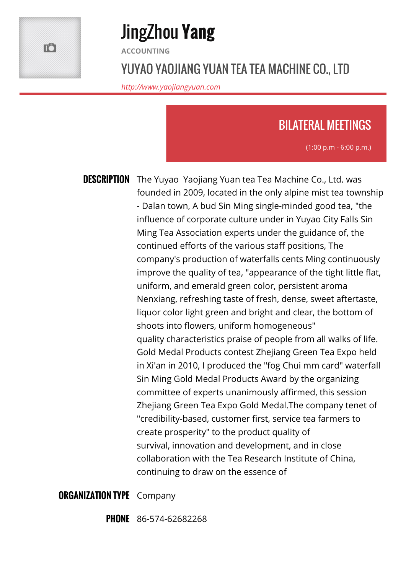# JingZhou **Yang**

**ACCOUNTING**

TÔ

### YUYAO YAOJIANG YUAN TEA TEA MACHINE CO., LTD

*<http://www.yaojiangyuan.com>*

#### BILATERAL MEETINGS

(1:00 p.m - 6:00 p.m.)

**DESCRIPTION** The Yuyao Yaojiang Yuan tea Tea Machine Co., Ltd. was founded in 2009, located in the only alpine mist tea township - Dalan town, A bud Sin Ming single-minded good tea, "the influence of corporate culture under in Yuyao City Falls Sin Ming Tea Association experts under the guidance of, the continued efforts of the various staff positions, The company's production of waterfalls cents Ming continuously improve the quality of tea, "appearance of the tight little flat, uniform, and emerald green color, persistent aroma Nenxiang, refreshing taste of fresh, dense, sweet aftertaste, liquor color light green and bright and clear, the bottom of shoots into flowers, uniform homogeneous" quality characteristics praise of people from all walks of life. Gold Medal Products contest Zhejiang Green Tea Expo held in Xi'an in 2010, I produced the "fog Chui mm card" waterfall Sin Ming Gold Medal Products Award by the organizing committee of experts unanimously affirmed, this session Zhejiang Green Tea Expo Gold Medal.The company tenet of "credibility-based, customer first, service tea farmers to create prosperity" to the product quality of survival, innovation and development, and in close collaboration with the Tea Research Institute of China, continuing to draw on the essence of

#### **ORGANIZATION TYPE** Company

**PHONE** 86-574-62682268